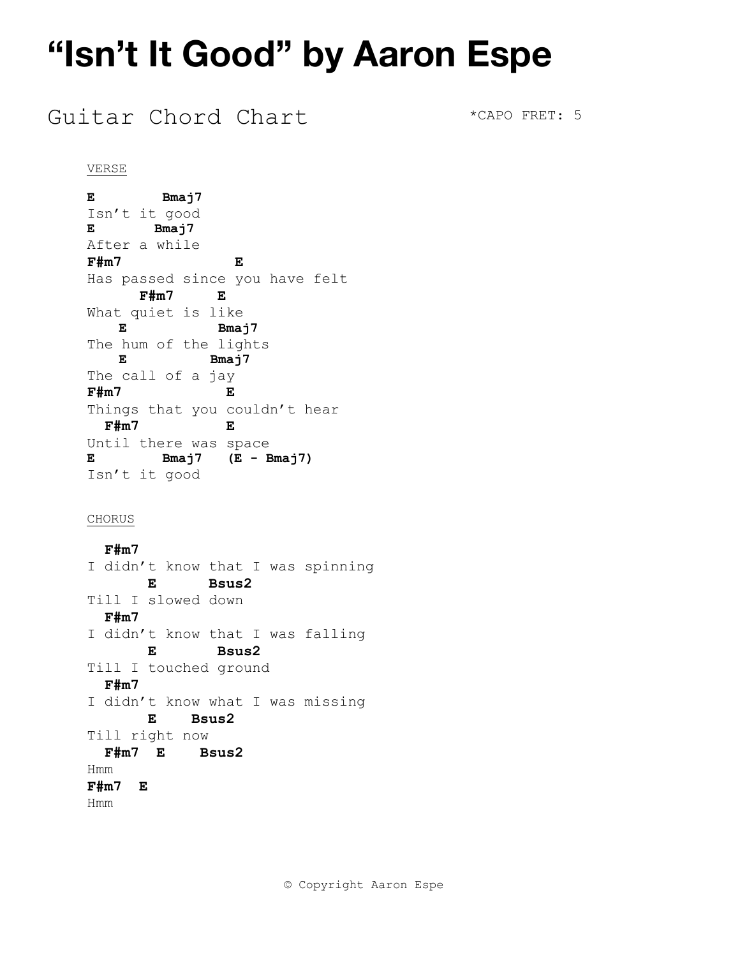### Guitar Chord Chart \*CAPO FRET: 5

#### VERSE

**E Bmaj7** Isn't it good **E Bmaj7**  After a while **F#m7 E**  Has passed since you have felt  **F#m7 E**  What quiet is like **E** Bmaj7 The hum of the lights  **E Bmaj7**  The call of a jay **F#m7 E**  Things that you couldn't hear  **F#m7 E**  Until there was space **E Bmaj7 (E - Bmaj7)**  Isn't it good

#### CHORUS

 **F#m7**  I didn't know that I was spinning  **E Bsus2**  Till I slowed down  **F#m7**  I didn't know that I was falling  **E Bsus2**  Till I touched ground  **F#m7**  I didn't know what I was missing  **E Bsus2**  Till right now  **F#m7 E Bsus2**  Hmm **F#m7 E**  Hmm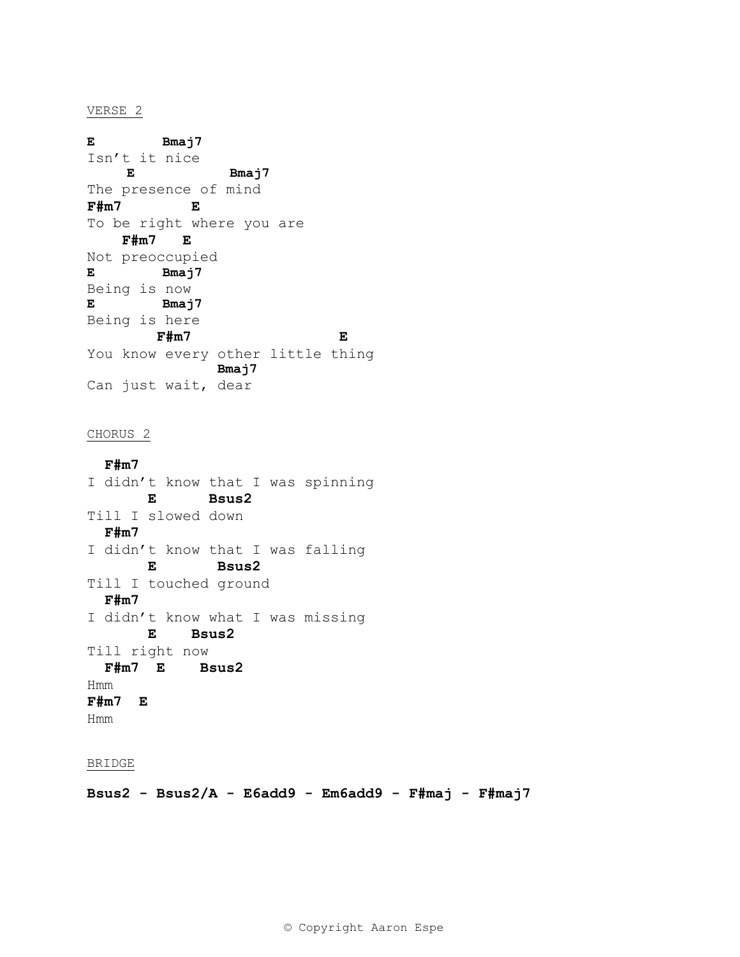#### VERSE 2

**E Bmaj7**  Isn't it nice  **E Bmaj7**  The presence of mind **F#m7 E**  To be right where you are  **F#m7 E**  Not preoccupied **E Bmaj7**  Being is now **E Bmaj7**  Being is here  **F#m7 E**  You know every other little thing  **Bmaj7**  Can just wait, dear

#### CHORUS 2

 **F#m7**  I didn't know that I was spinning  **E Bsus2**  Till I slowed down  **F#m7**  I didn't know that I was falling  **E Bsus2**  Till I touched ground  **F#m7**  I didn't know what I was missing  **E Bsus2**  Till right now  **F#m7 E Bsus2**  Hmm **F#m7 E**  Hmm

#### BRIDGE

**Bsus2 - Bsus2/A - E6add9 - Em6add9 - F#maj - F#maj7**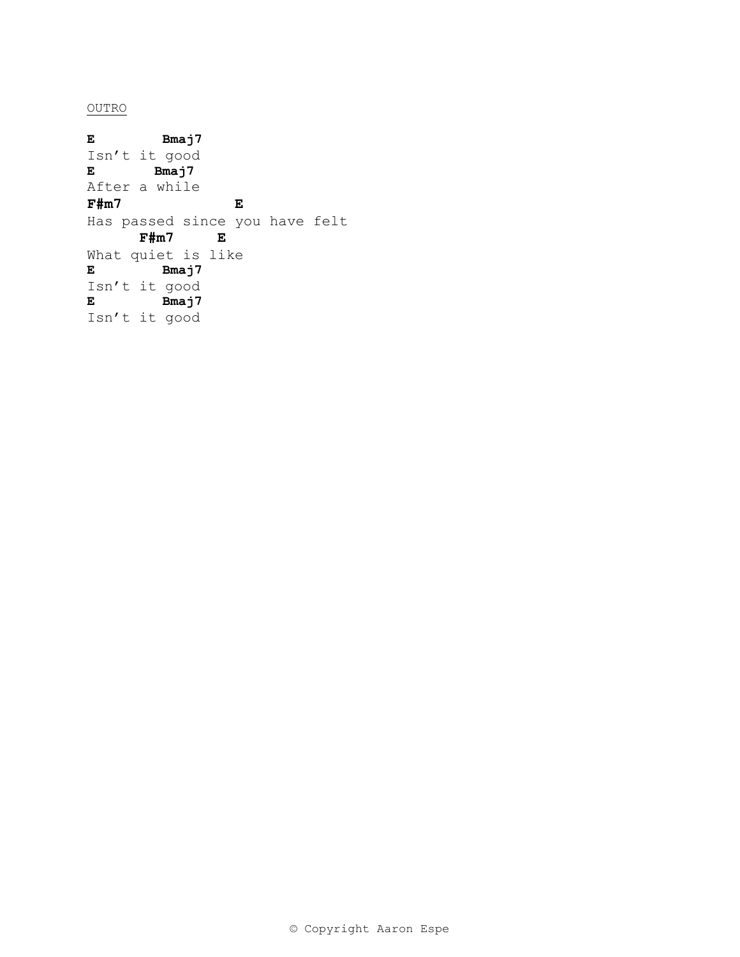OUTRO

**E Bmaj7**  Isn't it good **E Bmaj7**  After a while **F#m7 E**  Has passed since you have felt  **F#m7 E**  What quiet is like **E Bmaj7**  Isn't it good **E Bmaj7**  Isn't it good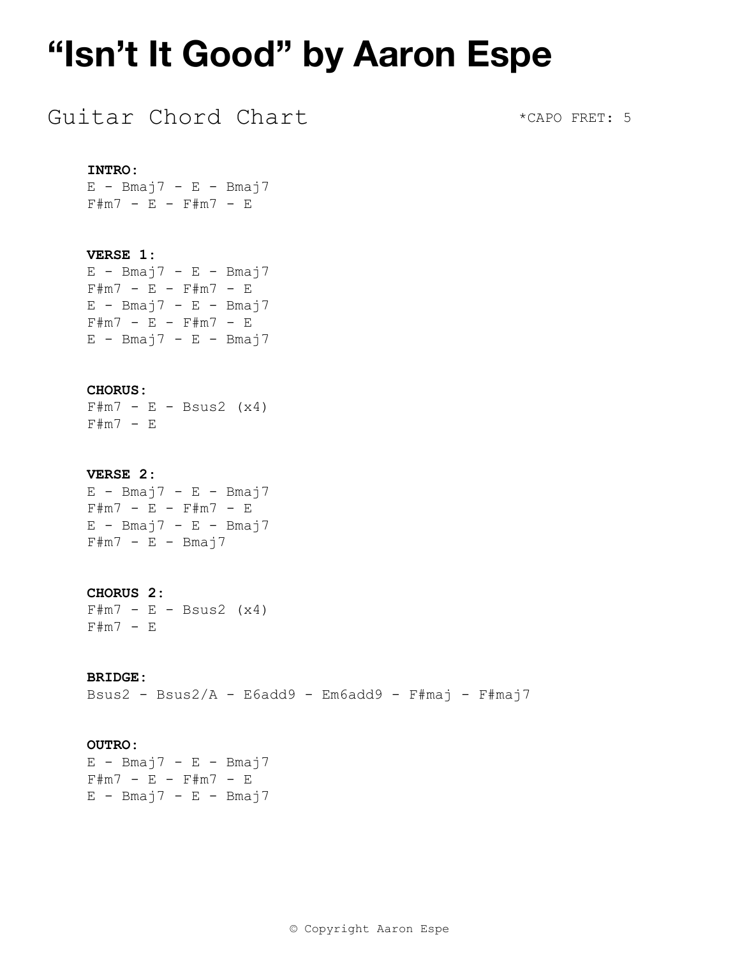### Guitar Chord Chart

\*CAPO FRET: 5

#### **INTRO:**

 $E$  - Bmaj7 - E - Bmaj7 F#m7 - E - F#m7 - E

#### **VERSE 1:**

 $E - B$ maj $7 - E - B$ maj $7$  $F#m7 - E - F#m7 - E$  $E$  - Bmaj7 - E - Bmaj7 F#m7 - E - F#m7 - E  $E$  - Bmaj7 - E - Bmaj7

#### **CHORUS:**

 $F\#m7 - E - Bsus2 (x4)$ F#m7 - E

#### **VERSE 2:**

 $E$  - Bmaj7 - E - Bmaj7 F#m7 - E - F#m7 - E  $E$  - Bmaj7 - E - Bmaj7  $F\#m7 - E - Bmaj7$ 

#### **CHORUS 2:**

 $F \# m7 - E - B s u s 2 (x 4)$ F#m7 - E

#### **BRIDGE:**

Bsus2 - Bsus2/A - E6add9 - Em6add9 - F#maj - F#maj7

#### **OUTRO:**

 $E - B$ maj $7 - E - B$ maj $7$ F#m7 - E - F#m7 - E  $E$  - Bmaj7 - E - Bmaj7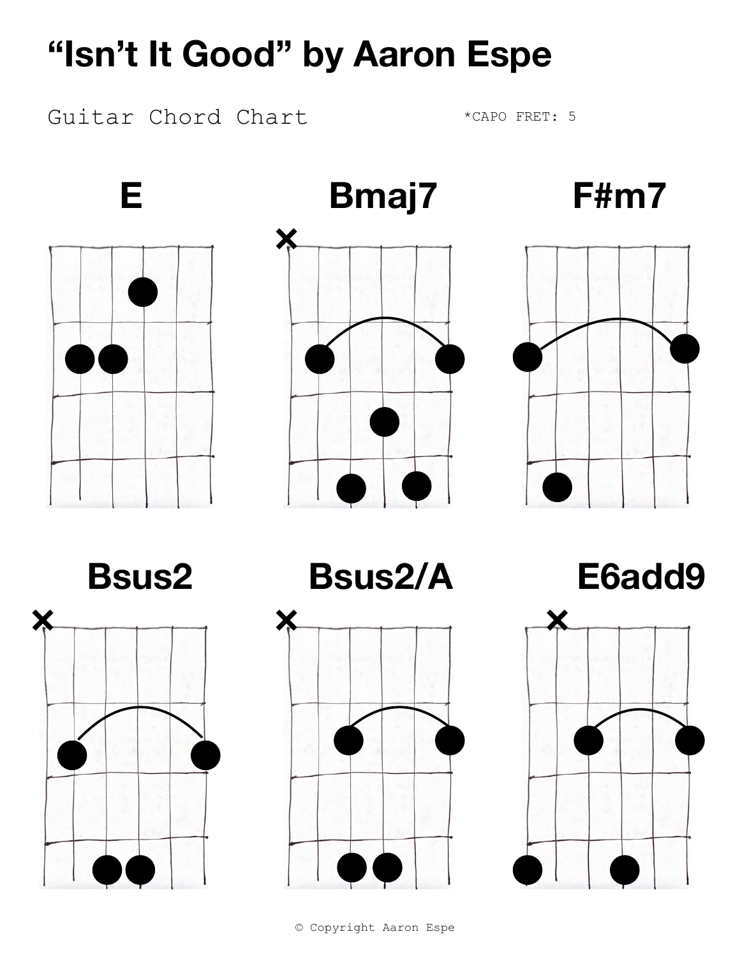Guitar Chord Chart